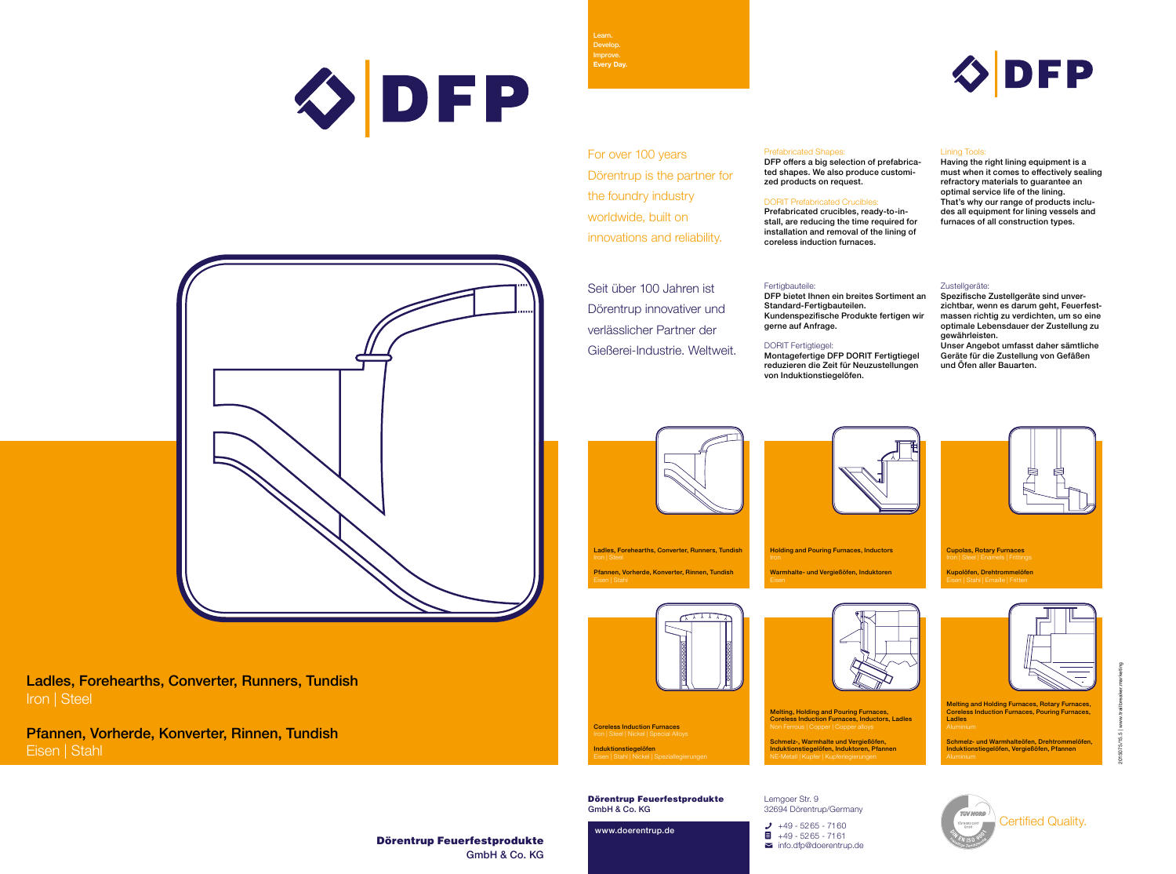# Dörentrup Feuerfestprodukte GmbH & Co. KG



2015075/15.5 | www.trailbreaker.marketing



# OPP



Ladles, Forehearths, Converter, Runners, Tundish Iron | Steel

Pfannen, Vorherde, Konverter, Rinnen, Tundish Eisen | Stahl

> Dörentrup Feuerfestprodukte GmbH & Co. KG

www.doerentrup.de



Lemgoer Str. 9 32694 Dörentrup/Germany

> $\bigcup$  +49 - 5265 - 7160  $\blacksquare$  +49 - 5265 - 7161  $\blacksquare$  info.dfp@doerentrup.de

Learn. Develop. Improve. **Every Day.**

Certified Quality.

Melting, Holding and Pouring Furnaces, Coreless Induction Furnaces, Inductors, Ladles

Coreless Induction Furnaces Iron | Steel | Nickel | Special Alloys **Induktionstiegelöfen**<br>Eisen | Stahl | Nickel | Speziallegierungen

Schmelz-, Warmhalte und Vergießöfen, Induktionstiegelöfen, Induktoren, Pfannen NE-Metall | Kupfer | Kupferlegierungen

Melting and Holding Furnaces, Rotary Furnaces, Coreless Induction Furnaces, Pouring Furnaces, Ladles

Schmelz- und Warmhalteöfen, Drehtrommelöfen, Induktionstiegelöfen, Vergießöfen, Pfannen



Holding and Pouring Furnaces, Inductors Warmhalte- und Vergießöfen, Induktoren



Ladles, Forehearths, Converter, Runners, Tundish Pfannen, Vorherde, Konverter, Rinnen, Tundish



For over 100 years Dörentrup is the partner for the foundry industry worldwide, built on innovations and reliability.

Prefabricated Shapes:

DFP offers a big selection of prefabricated shapes. We also produce customized products on request.

DORIT Prefabricated Crucibles:

Prefabricated crucibles, ready-to-install, are reducing the time required for installation and removal of the lining of coreless induction furnaces.

## Fertigbauteile:

#### Lining Tools:

Having the right lining equipment is a must when it comes to effectively sealing refractory materials to guarantee an optimal service life of the lining. That's why our range of products includes all equipment for lining vessels and furnaces of all construction types.

#### Zustellgeräte:

Seit über 100 Jahren ist Dörentrup innovativer und verlässlicher Partner der Gießerei-Industrie. Weltweit.

DFP bietet Ihnen ein breites Sortiment an Standard-Fertigbauteilen. Kundenspezifische Produkte fertigen wir gerne auf Anfrage.

# DORIT Fertigtiegel:

Montagefertige DFP DORIT Fertigtiegel reduzieren die Zeit für Neuzustellungen von Induktionstiegelöfen.



Spezifische Zustellgeräte sind unverzichtbar, wenn es darum geht, Feuerfestmassen richtig zu verdichten, um so eine optimale Lebensdauer der Zustellung zu gewährleisten.

Unser Angebot umfasst daher sämtliche Geräte für die Zustellung von Gefäßen und Öfen aller Bauarten.